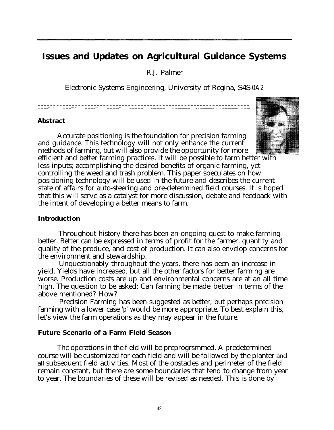# **Issues and Updates on Agricultural Guidance Systems**

R.J. Palmer

Electronic Systems Engineering, University of Regina, S4S 0A2

\_\_\_\_--\_\_\_\_\_--\_\_\_\_\_\_---\_\_\_\_\_-\_\_\_\_\_\_\_-------\_------\_\_----------------- --------------------------------------------------------------------

### **Abstract**

Accurate positioning is the foundation for precision farming and guidance. This technology will not only enhance the current methods of farming, but will also provide the opportunity for more efficient and better farming practices. It will be possible to farm better with less inputs; accomplishing the desired benefits of organic farming, yet controlling the weed and trash problem. This paper speculates on how positioning technology will be used in the future and describes the current state of affairs for auto-steering and pre-determined field courses. It is hoped that this will serve as a catalyst for more discussion, debate and feedback with the intent of developing a better means to farm.

# **Introduction**

Throughout history there has been an ongoing quest to make farming better. Better can be expressed in terms of profit for the farmer, quantity and quality of the produce, and cost of production. It can also envelop concerns for the environment and stewardship.

Unquestionably throughout the years, there has been an increase in yield. Yields have increased, but all the other factors for better farming are worse. Production costs are up and environmental concerns are at an all time high. The question to be asked: Can farming be made better in terms of the above mentioned? How?

Precision Farming has been suggested as better, but perhaps precision farming with a lower case 'p' would be more appropriate. To best explain this, let's view the farm operations as they may appear in the future.

# **Future Scenario of a Farm Field Season**

The operations in the field will be preprogrsmmed. A predetermined course will be customized for each field and will be followed by the planter and all subsequent field activities. Most of the obstacles and perimeter of the field remain constant, but there are some boundaries that tend to change from year to year. The boundaries of these will be revised as needed. This is done by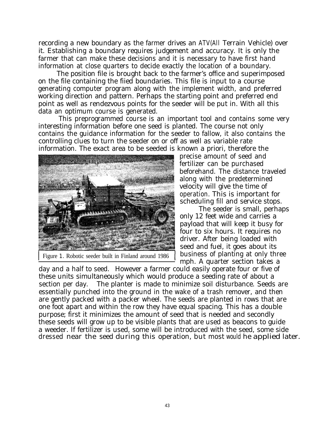recording a new boundary as the farmer drives an ATV(All Terrain Vehicle) over it. Establishing a boundary requires judgement and accuracy. It is only the farmer that can make these decisions and it is necessary to have first hand information at close quarters to decide exactly the location of a boundary.

The position file is brought back to the farmer's office and superimposed on the file containing the fiied boundaries. This file is input to a course generating computer program along with the implement width, and preferred working direction and pattern. Perhaps the starting point and preferred end point as well as rendezvous points for the seeder will be put in. With all this data an optimum course is generated.

This preprogrammed course is an important tool and contains some very interesting information before one seed is planted. The course not only contains the guidance information for the seeder to fallow, it also contains the controlling clues to turn the seeder on or off as well as variable rate information. The exact area to be seeded is known a priori, therefore the



precise amount of seed and fertilizer can be purchased beforehand. The distance traveled along with the predetermined velocity will give the time of operation. This is important for scheduling fill and service stops.

The seeder is small, perhaps only 12 feet wide and carries a payload that will keep it busy for four to six hours. It requires no driver. After being loaded with seed and fuel, it goes about its business of planting at only three mph. A quarter section takes a

day and a half to seed. However a farmer could easily operate four or five of these units simultaneously which would produce a seeding rate of about a section per day. The planter is made to minimize soil disturbance. Seeds are essentially punched into the ground in the wake of a trash remover, and then are gently packed with a packer wheel. The seeds are planted in rows that are one foot apart and within the row they have equal spacing. This has a double purpose; first it minimizes the amount of seed that is needed and secondly these seeds will grow up to be visible plants that are used as beacons to guide a weeder. If fertilizer is used, some will be introduced with the seed, some side dressed near the seed during this operation, but most would he applied later.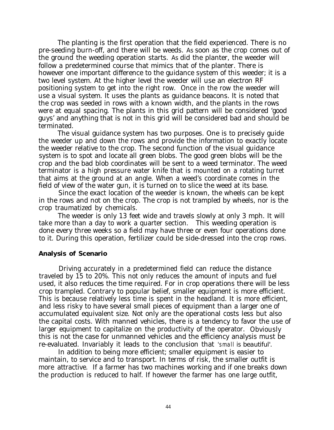The planting is the first operation that the field experienced. There is no pre-seeding burn-off, and there will be weeds. As soon as the crop comes out of the ground the weeding operation starts. As did the planter, the weeder will follow a predetermined course that mimics that of the planter. There is however one important difference to the guidance system of this weeder; it is a two level system. At the higher level the weeder will use an electron RF positioning system to get into the right row. Once in the row the weeder will use a visual system. It uses the plants as guidance beacons. It is noted that the crop was seeded in rows with a known width, and the plants in the rows were at equal spacing. The plants in this grid pattern will be considered 'good guys' and anything that is not in this grid will be considered bad and should be terminated.

The visual guidance system has two purposes. One is to precisely guide the weeder up and down the rows and provide the information to exactly locate the weeder relative to the crop. The second function of the visual guidance system is to spot and locate all green blobs. The good green blobs will be the crop and the bad blob coordinates will be sent to a weed terminator. The weed terminator is a high pressure water knife that is mounted on a rotating turret that aims at the ground at an angle. When a weed's coordinate comes in the field of view of the water gun, it is turned on to slice the weed at its base.

Since the exact location of the weeder is known, the wheels can be kept in the rows and not on the crop. The crop is not trampled by wheels, nor is the crop traumatized by chemicals.

The weeder is only 13 feet wide and travels slowly at only 3 mph. It will take more than a day to work a quarter section. This weeding operation is done every three weeks so a field may have three or even four operations done to it. During this operation, fertilizer could be side-dressed into the crop rows.

#### **Analysis of Scenario**

Driving accurately in a predetermined field can reduce the distance traveled by 15 to 20%. This not only reduces the amount of inputs and fuel used, it also reduces the time required. For in crop operations there will be less crop trampled. Contrary to popular belief, smaller equipment is more efficient. This is because relatively less time is spent in the headland. It is more efficient, and less risky to have several small pieces of equipment than a larger one of accumulated equivalent size. Not only are the operational costs less but also the capital costs. With manned vehicles, there is a tendency to favor the use of larger equipment to capitalize on the productivity of the operator. Obviously this is not the case for unmanned vehicles and the efficiency analysis must be re-evaluated. Invariably it leads to the conclusion that *'small is beautiful'.*

In addition to being more efficient; smaller equipment is easier to maintain, to service and to transport. In terms of risk, the smaller outfit is more attractive. If a farmer has two machines working and if one breaks down the production is reduced to half. If however the farmer has one large outfit,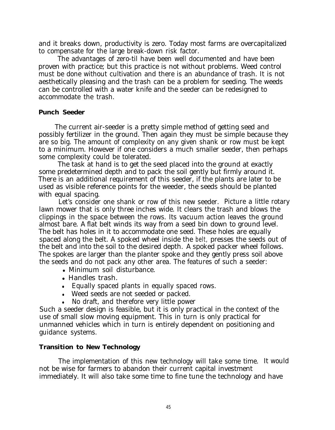and it breaks down, productivity is zero. Today most farms are overcapitalized to compensate for the large break-down risk factor.

The advantages of zero-til have been well documented and have been proven with practice; but this practice is not without problems. Weed control must be done without cultivation and there is an abundance of trash. It is not aesthetically pleasing and the trash can be a problem for seeding. The weeds can be controlled with a water knife and the seeder can be redesigned to accommodate the trash.

## **Punch Seeder**

The current air-seeder is a pretty simple method of getting seed and possibly fertilizer in the ground. Then again they must be simple because they are so big. The amount of complexity on any given shank or row must be kept to a minimum. However if one considers a much smaller seeder, then perhaps some complexity could be tolerated.

The task at hand is to get the seed placed into the ground at exactly some predetermined depth and to pack the soil gently but firmly around it. There is an additional requirement of this seeder, if the plants are later to be used as visible reference points for the weeder, the seeds should be planted with equal spacing.

Let's consider one shank or row of this new seeder. Picture a little rotary lawn mower that is only three inches wide. It clears the trash and blows the clippings in the space between the rows. Its vacuum action leaves the ground almost bare. A flat belt winds its way from a seed bin down to ground level. The belt has holes in it to accommodate one seed. These holes are equally spaced along the belt. A spoked wheel inside the belt, presses the seeds out of the belt and into the soil to the desired depth. A spoked packer wheel follows. The spokes are larger than the planter spoke and they gently press soil above the seeds and do not pack any other area. The features of such a seeder:

- Minimum soil disturbance.
- Handles trash.
- Equally spaced plants in equally spaced rows.
- Weed seeds are not seeded or packed.
- <sup>l</sup> No draft, and therefore very little power

Such a seeder design is feasible, but it is only practical in the context of the use of small slow moving equipment. This in turn is only practical for unmanned vehicles which in turn is entirely dependent on positioning and guidance systems.

# **Transition to New Technology**

The implementation of this new technology will take some time. It would not be wise for farmers to abandon their current capital investment immediately. It will also take some time to fine tune the technology and have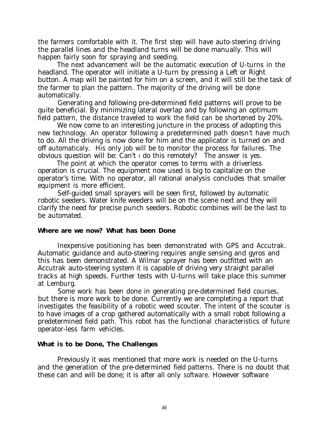the farmers comfortable with it. The first step will have auto-steering driving the parallel lines and the headland turns will be done manually. This will happen fairly soon for spraying and seeding.

The next advancement will be the automatic execution of U-turns in the headland. The operator will initiate a U-turn by pressing a Left or Right button. A map will be painted for him on a screen, and it will still be the task of the farmer to plan the pattern. The majority of the driving will be done automatically.

Generating and following pre-determined field patterns will prove to be quite beneficial. By minimizing lateral overlap and by following an optimum field pattern, the distance traveled to work the field can be shortened by 20%.

We now come to an interesting juncture in the process of adopting this new technology. An operator following a predetermined path doesn't have much to do. All the driving is now done for him and the applicator is turned on and off automaticaly.. His only job will be to monitor the process for failures. The obvious question will be: Can't I do this remotely? The answer is yes.

The point at which the operator comes to terms with a driverless operation is crucial. The equipment now used is big to capitalize on the operator's time. With no operator, all rational analysis concludes that smaller equipment is more efficient.

Self-guided small sprayers will be seen first, followed by automatic robotic seeders. Water knife weeders will be on the scene next and they will clarify the need for precise punch seeders. Robotic combines will be the last to be automated.

### **Where are we now? What has been Done**

Inexpensive positioning has been demonstrated with GPS and Accutrak. Automatic guidance and auto-steering requires angle sensing and gyros and this has been demonstrated. A Wilmar sprayer has been outfitted with an Accutrak auto-steering system it is capable of driving very straight parallel tracks at high speeds. Further tests with U-turns will take place this summer at Lemburg.

Some work has been done in generating pre-determined field courses, but there is more work to be done. Currently we are completing a report that investigates the feasibility of a robotic weed scouter. The intent of the scouter is to have images of a crop gathered automatically with a small robot following a predetermined field path. This robot has the functional characteristics of future operator-less farm vehicles.

### **What is to be Done, The Challenges**

Previously it was mentioned that more work is needed on the U-turns and the generation of the pre-determined field patterns. There is no doubt that these can and will be done; it is after all only software. However software